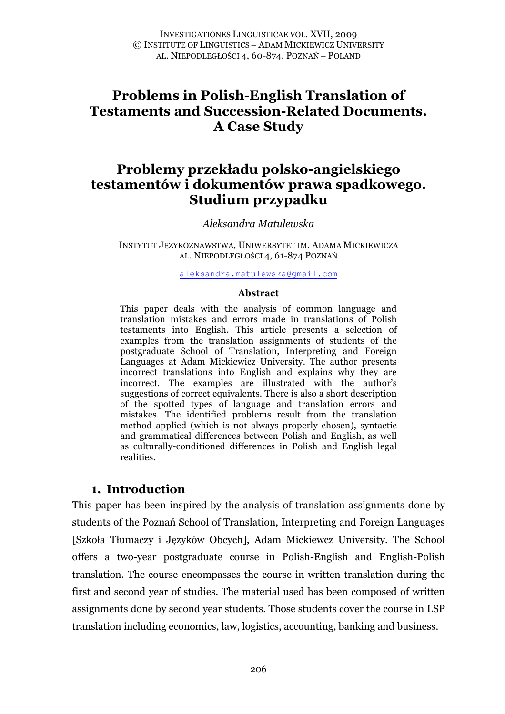# **Problems in Polish-English Translation of Testaments and Succession-Related Documents. A Case Study**

# **Problemy przekładu polsko-angielskiego testamentów i dokumentów prawa spadkowego. Studium przypadku**

*Aleksandra Matulewska*

INSTYTUT JĘZYKOZNAWSTWA, UNIWERSYTET IM. ADAMA MICKIEWICZA AL. NIEPODLEGŁOŚCI 4, 61-874 POZNAŃ

aleksandra.matulewska@gmail.com

#### **Abstract**

This paper deals with the analysis of common language and translation mistakes and errors made in translations of Polish testaments into English. This article presents a selection of examples from the translation assignments of students of the postgraduate School of Translation, Interpreting and Foreign Languages at Adam Mickiewicz University. The author presents incorrect translations into English and explains why they are incorrect. The examples are illustrated with the author's suggestions of correct equivalents. There is also a short description of the spotted types of language and translation errors and mistakes. The identified problems result from the translation method applied (which is not always properly chosen), syntactic and grammatical differences between Polish and English, as well as culturally-conditioned differences in Polish and English legal realities.

## **1. Introduction**

This paper has been inspired by the analysis of translation assignments done by students of the Poznań School of Translation, Interpreting and Foreign Languages [Szkoła Tłumaczy i Języków Obcych], Adam Mickiewcz University. The School offers a two-year postgraduate course in Polish-English and English-Polish translation. The course encompasses the course in written translation during the first and second year of studies. The material used has been composed of written assignments done by second year students. Those students cover the course in LSP translation including economics, law, logistics, accounting, banking and business.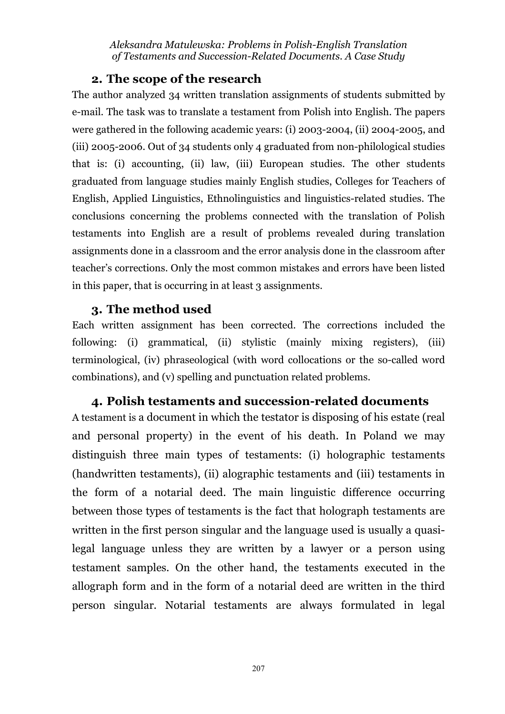## **2. The scope of the research**

The author analyzed 34 written translation assignments of students submitted by e-mail. The task was to translate a testament from Polish into English. The papers were gathered in the following academic years: (i) 2003-2004, (ii) 2004-2005, and (iii) 2005-2006. Out of 34 students only 4 graduated from non-philological studies that is: (i) accounting, (ii) law, (iii) European studies. The other students graduated from language studies mainly English studies, Colleges for Teachers of English, Applied Linguistics, Ethnolinguistics and linguistics-related studies. The conclusions concerning the problems connected with the translation of Polish testaments into English are a result of problems revealed during translation assignments done in a classroom and the error analysis done in the classroom after teacher's corrections. Only the most common mistakes and errors have been listed in this paper, that is occurring in at least 3 assignments.

## **3. The method used**

Each written assignment has been corrected. The corrections included the following: (i) grammatical, (ii) stylistic (mainly mixing registers), (iii) terminological, (iv) phraseological (with word collocations or the so-called word combinations), and (v) spelling and punctuation related problems.

## **4. Polish testaments and succession-related documents**

A testament is a document in which the testator is disposing of his estate (real and personal property) in the event of his death. In Poland we may distinguish three main types of testaments: (i) holographic testaments (handwritten testaments), (ii) alographic testaments and (iii) testaments in the form of a notarial deed. The main linguistic difference occurring between those types of testaments is the fact that holograph testaments are written in the first person singular and the language used is usually a quasilegal language unless they are written by a lawyer or a person using testament samples. On the other hand, the testaments executed in the allograph form and in the form of a notarial deed are written in the third person singular. Notarial testaments are always formulated in legal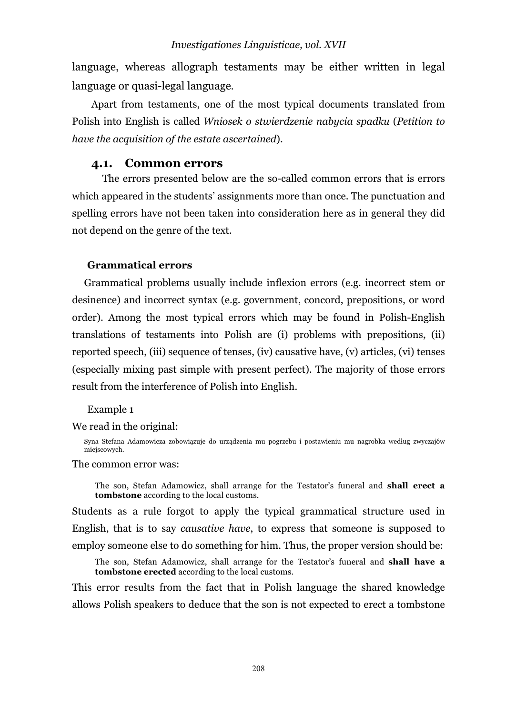language, whereas allograph testaments may be either written in legal language or quasi-legal language.

Apart from testaments, one of the most typical documents translated from Polish into English is called *Wniosek o stwierdzenie nabycia spadku* (*Petition to have the acquisition of the estate ascertained*).

## **4.1. Common errors**

The errors presented below are the so-called common errors that is errors which appeared in the students' assignments more than once. The punctuation and spelling errors have not been taken into consideration here as in general they did not depend on the genre of the text.

#### **Grammatical errors**

Grammatical problems usually include inflexion errors (e.g. incorrect stem or desinence) and incorrect syntax (e.g. government, concord, prepositions, or word order). Among the most typical errors which may be found in Polish-English translations of testaments into Polish are (i) problems with prepositions, (ii) reported speech, (iii) sequence of tenses, (iv) causative have, (v) articles, (vi) tenses (especially mixing past simple with present perfect). The majority of those errors result from the interference of Polish into English.

#### Example 1

We read in the original:

Syna Stefana Adamowicza zobowiązuje do urządzenia mu pogrzebu i postawieniu mu nagrobka według zwyczajów miejscowych.

#### The common error was:

The son, Stefan Adamowicz, shall arrange for the Testator's funeral and **shall erect a tombstone** according to the local customs.

Students as a rule forgot to apply the typical grammatical structure used in English, that is to say *causative have*, to express that someone is supposed to employ someone else to do something for him. Thus, the proper version should be:

The son, Stefan Adamowicz, shall arrange for the Testator's funeral and **shall have a tombstone erected** according to the local customs.

This error results from the fact that in Polish language the shared knowledge allows Polish speakers to deduce that the son is not expected to erect a tombstone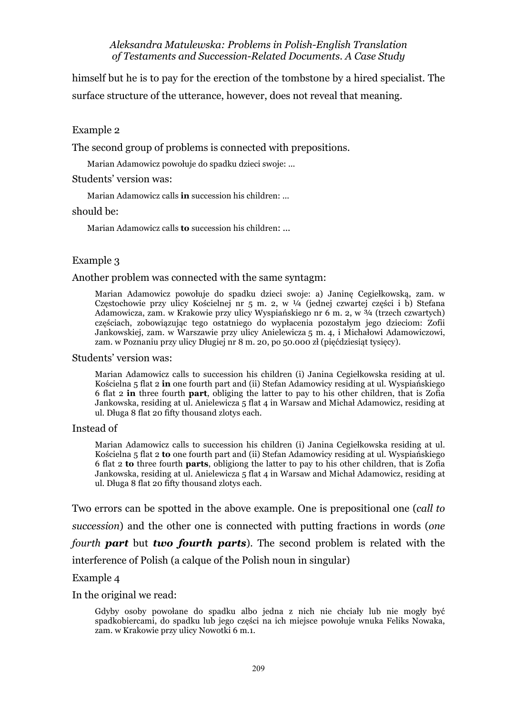himself but he is to pay for the erection of the tombstone by a hired specialist. The surface structure of the utterance, however, does not reveal that meaning.

Example 2

The second group of problems is connected with prepositions.

Marian Adamowicz powołuje do spadku dzieci swoje: ...

Students' version was:

Marian Adamowicz calls **in** succession his children: ...

#### should be:

Marian Adamowicz calls **to** succession his children: ...

#### Example 3

#### Another problem was connected with the same syntagm:

Marian Adamowicz powołuje do spadku dzieci swoje: a) Janinę Cegiełkowską, zam. w Częstochowie przy ulicy Kościelnej nr 5 m. 2, w  $\frac{1}{4}$  (jednej czwartej części i b) Stefana Adamowicza, zam. w Krakowie przy ulicy Wyspiańskiego nr 6 m. 2, w ¾ (trzech czwartych) częściach, zobowiązując tego ostatniego do wypłacenia pozostałym jego dzieciom: Zofii Jankowskiej, zam. w Warszawie przy ulicy Anielewicza 5 m. 4, i Michałowi Adamowiczowi, zam. w Poznaniu przy ulicy Długiej nr 8 m. 20, po 50.000 zł (pięćdziesiąt tysięcy).

#### Students' version was:

Marian Adamowicz calls to succession his children (i) Janina Cegiełkowska residing at ul. Kościelna 5 flat 2 **in** one fourth part and (ii) Stefan Adamowicy residing at ul. Wyspiańskiego 6 flat 2 **in** three fourth **part**, obliging the latter to pay to his other children, that is Zofia Jankowska, residing at ul. Anielewicza 5 flat 4 in Warsaw and Michał Adamowicz, residing at ul. Długa 8 flat 20 fifty thousand zlotys each.

#### Instead of

Marian Adamowicz calls to succession his children (i) Janina Cegiełkowska residing at ul. Kościelna 5 flat 2 **to** one fourth part and (ii) Stefan Adamowicy residing at ul. Wyspiańskiego 6 flat 2 **to** three fourth **parts**, obligiong the latter to pay to his other children, that is Zofia Jankowska, residing at ul. Anielewicza 5 flat 4 in Warsaw and Michał Adamowicz, residing at ul. Długa 8 flat 20 fifty thousand zlotys each.

Two errors can be spotted in the above example. One is prepositional one (*call to succession*) and the other one is connected with putting fractions in words (*one fourth part* but *two fourth parts*). The second problem is related with the interference of Polish (a calque of the Polish noun in singular)

#### Example 4

In the original we read:

Gdyby osoby powołane do spadku albo jedna z nich nie chciały lub nie mogły być spadkobiercami, do spadku lub jego części na ich miejsce powołuje wnuka Feliks Nowaka, zam. w Krakowie przy ulicy Nowotki 6 m.1.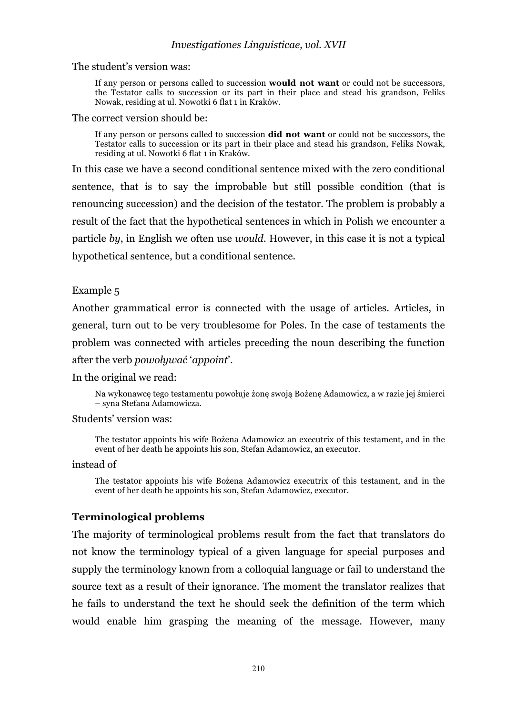The student's version was:

If any person or persons called to succession **would not want** or could not be successors, the Testator calls to succession or its part in their place and stead his grandson, Feliks Nowak, residing at ul. Nowotki 6 flat 1 in Kraków.

The correct version should be:

If any person or persons called to succession **did not want** or could not be successors, the Testator calls to succession or its part in their place and stead his grandson, Feliks Nowak, residing at ul. Nowotki 6 flat 1 in Kraków.

In this case we have a second conditional sentence mixed with the zero conditional sentence, that is to say the improbable but still possible condition (that is renouncing succession) and the decision of the testator. The problem is probably a result of the fact that the hypothetical sentences in which in Polish we encounter a particle *by*, in English we often use *would*. However, in this case it is not a typical hypothetical sentence, but a conditional sentence.

## Example 5

Another grammatical error is connected with the usage of articles. Articles, in general, turn out to be very troublesome for Poles. In the case of testaments the problem was connected with articles preceding the noun describing the function after the verb *powoływać* '*appoint*'.

In the original we read:

Na wykonawcę tego testamentu powołuje żonę swoją Bożenę Adamowicz, a w razie jej śmierci – syna Stefana Adamowicza.

Students' version was:

The testator appoints his wife Bożena Adamowicz an executrix of this testament, and in the event of her death he appoints his son, Stefan Adamowicz, an executor.

instead of

The testator appoints his wife Bożena Adamowicz executrix of this testament, and in the event of her death he appoints his son, Stefan Adamowicz, executor.

## **Terminological problems**

The majority of terminological problems result from the fact that translators do not know the terminology typical of a given language for special purposes and supply the terminology known from a colloquial language or fail to understand the source text as a result of their ignorance. The moment the translator realizes that he fails to understand the text he should seek the definition of the term which would enable him grasping the meaning of the message. However, many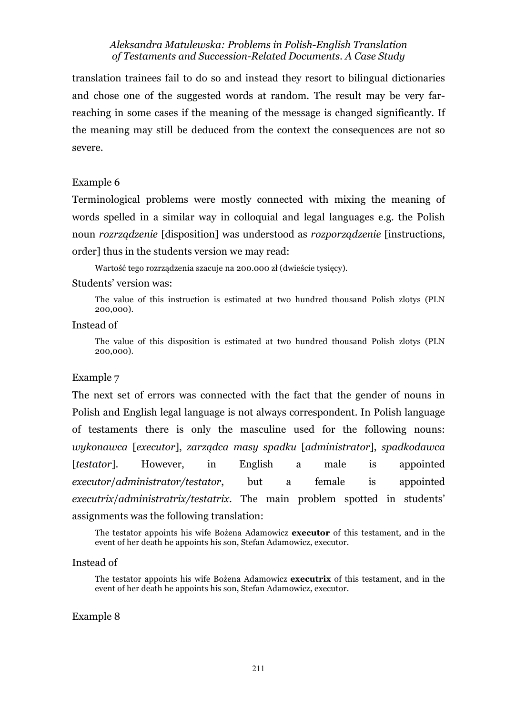translation trainees fail to do so and instead they resort to bilingual dictionaries and chose one of the suggested words at random. The result may be very farreaching in some cases if the meaning of the message is changed significantly. If the meaning may still be deduced from the context the consequences are not so severe.

#### Example 6

Terminological problems were mostly connected with mixing the meaning of words spelled in a similar way in colloquial and legal languages e.g. the Polish noun *rozrządzenie* [disposition] was understood as *rozporządzenie* [instructions, order] thus in the students version we may read:

Wartość tego rozrządzenia szacuje na 200.000 zł (dwieście tysięcy).

#### Students' version was:

The value of this instruction is estimated at two hundred thousand Polish zlotys (PLN 200,000).

Instead of

The value of this disposition is estimated at two hundred thousand Polish zlotys (PLN 200,000).

### Example 7

The next set of errors was connected with the fact that the gender of nouns in Polish and English legal language is not always correspondent. In Polish language of testaments there is only the masculine used for the following nouns: *wykonawca* [*executor*], *zarządca masy spadku* [*administrator*], *spadkodawca* [*testator*]. However, in English a male is appointed *executor*/*administrator/testator*, but a female is appointed *executrix*/*administratrix/testatrix*. The main problem spotted in students' assignments was the following translation:

The testator appoints his wife Bożena Adamowicz **executor** of this testament, and in the event of her death he appoints his son, Stefan Adamowicz, executor.

#### Instead of

The testator appoints his wife Bożena Adamowicz **executrix** of this testament, and in the event of her death he appoints his son, Stefan Adamowicz, executor.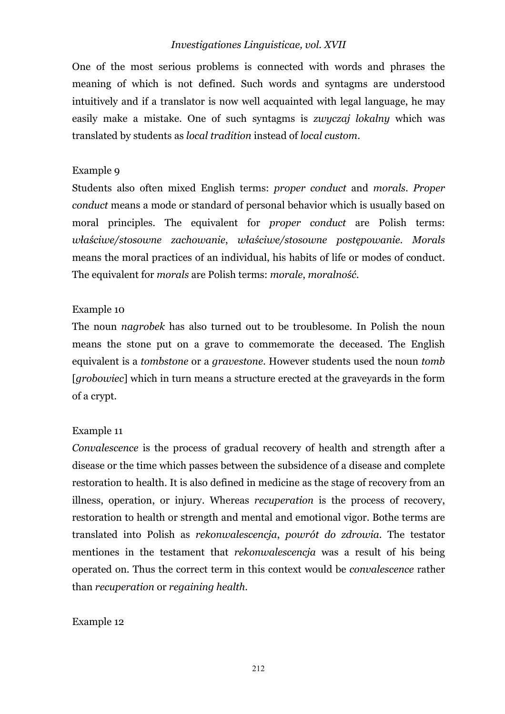## *Investigationes Linguisticae, vol. XVII*

One of the most serious problems is connected with words and phrases the meaning of which is not defined. Such words and syntagms are understood intuitively and if a translator is now well acquainted with legal language, he may easily make a mistake. One of such syntagms is *zwyczaj lokalny* which was translated by students as *local tradition* instead of *local custom*.

### Example 9

Students also often mixed English terms: *proper conduct* and *morals*. *Proper conduct* means a mode or standard of personal behavior which is usually based on moral principles. The equivalent for *proper conduct* are Polish terms: *właściwe/stosowne zachowanie*, *właściwe/stosowne postępowanie*. *Morals* means the moral practices of an individual, his habits of life or modes of conduct. The equivalent for *morals* are Polish terms: *morale*, *moralność*.

### Example 10

The noun *nagrobek* has also turned out to be troublesome. In Polish the noun means the stone put on a grave to commemorate the deceased. The English equivalent is a *tombstone* or a *gravestone*. However students used the noun *tomb* [*grobowiec*] which in turn means a structure erected at the graveyards in the form of a crypt.

## Example 11

*Convalescence* is the process of gradual recovery of health and strength after a disease or the time which passes between the subsidence of a disease and complete restoration to health. It is also defined in medicine as the stage of recovery from an illness, operation, or injury. Whereas *recuperation* is the process of recovery, restoration to health or strength and mental and emotional vigor. Bothe terms are translated into Polish as *rekonwalescencja*, *powrót do zdrowia*. The testator mentiones in the testament that *rekonwalescencja* was a result of his being operated on. Thus the correct term in this context would be *convalescence* rather than *recuperation* or *regaining health.*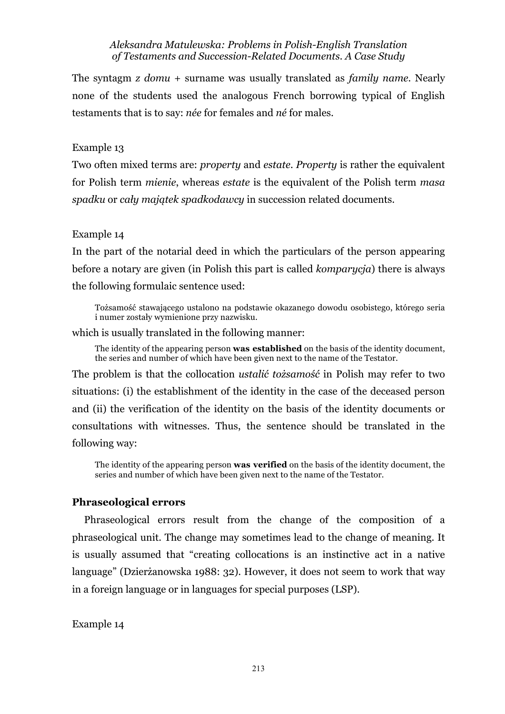The syntagm *z domu* + surname was usually translated as *family name*. Nearly none of the students used the analogous French borrowing typical of English testaments that is to say: *née* for females and *né* for males.

### Example 13

Two often mixed terms are: *property* and *estate*. *Property* is rather the equivalent for Polish term *mienie*, whereas *estate* is the equivalent of the Polish term *masa spadku* or *cały majątek spadkodawcy* in succession related documents.

### Example 14

In the part of the notarial deed in which the particulars of the person appearing before a notary are given (in Polish this part is called *komparycja*) there is always the following formulaic sentence used:

Tożsamość stawającego ustalono na podstawie okazanego dowodu osobistego, którego seria i numer zostały wymienione przy nazwisku.

which is usually translated in the following manner:

The identity of the appearing person **was established** on the basis of the identity document, the series and number of which have been given next to the name of the Testator.

The problem is that the collocation *ustalić tożsamość* in Polish may refer to two situations: (i) the establishment of the identity in the case of the deceased person and (ii) the verification of the identity on the basis of the identity documents or consultations with witnesses. Thus, the sentence should be translated in the following way:

The identity of the appearing person **was verified** on the basis of the identity document, the series and number of which have been given next to the name of the Testator.

#### **Phraseological errors**

Phraseological errors result from the change of the composition of a phraseological unit. The change may sometimes lead to the change of meaning. It is usually assumed that "creating collocations is an instinctive act in a native language" (Dzierżanowska 1988: 32). However, it does not seem to work that way in a foreign language or in languages for special purposes (LSP).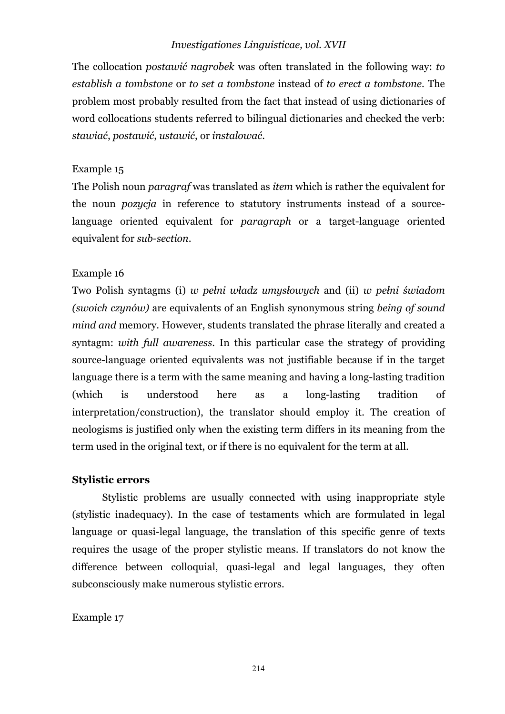## *Investigationes Linguisticae, vol. XVII*

The collocation *postawić nagrobek* was often translated in the following way: *to establish a tombstone* or *to set a tombstone* instead of *to erect a tombstone*. The problem most probably resulted from the fact that instead of using dictionaries of word collocations students referred to bilingual dictionaries and checked the verb: *stawiać*, *postawić*, *ustawić*, or *instalować*.

## Example 15

The Polish noun *paragraf* was translated as *item* which is rather the equivalent for the noun *pozycja* in reference to statutory instruments instead of a sourcelanguage oriented equivalent for *paragraph* or a target-language oriented equivalent for *sub-section*.

## Example 16

Two Polish syntagms (i) *w pełni władz umysłowych* and (ii) *w pełni świadom (swoich czynów)* are equivalents of an English synonymous string *being of sound mind and* memory. However, students translated the phrase literally and created a syntagm: *with full awareness*. In this particular case the strategy of providing source-language oriented equivalents was not justifiable because if in the target language there is a term with the same meaning and having a long-lasting tradition (which is understood here as a long-lasting tradition of interpretation/construction), the translator should employ it. The creation of neologisms is justified only when the existing term differs in its meaning from the term used in the original text, or if there is no equivalent for the term at all.

## **Stylistic errors**

Stylistic problems are usually connected with using inappropriate style (stylistic inadequacy). In the case of testaments which are formulated in legal language or quasi-legal language, the translation of this specific genre of texts requires the usage of the proper stylistic means. If translators do not know the difference between colloquial, quasi-legal and legal languages, they often subconsciously make numerous stylistic errors.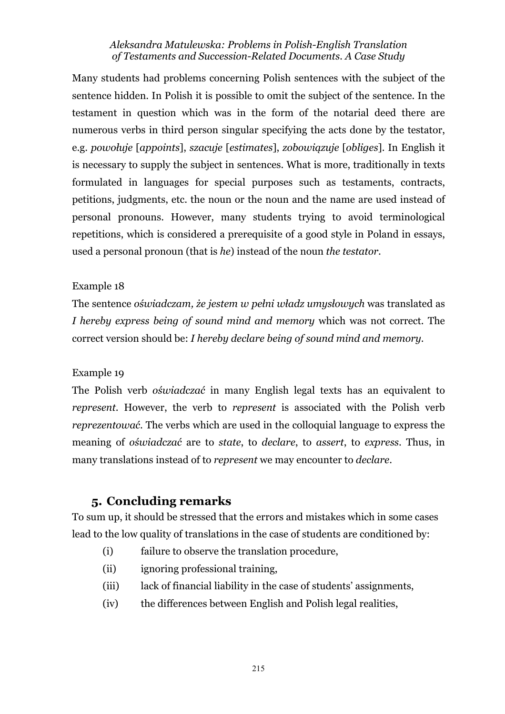Many students had problems concerning Polish sentences with the subject of the sentence hidden. In Polish it is possible to omit the subject of the sentence. In the testament in question which was in the form of the notarial deed there are numerous verbs in third person singular specifying the acts done by the testator, e.g. *powołuje* [*appoints*], *szacuje* [*estimates*], *zobowiązuje* [*obliges*]. In English it is necessary to supply the subject in sentences. What is more, traditionally in texts formulated in languages for special purposes such as testaments, contracts, petitions, judgments, etc. the noun or the noun and the name are used instead of personal pronouns. However, many students trying to avoid terminological repetitions, which is considered a prerequisite of a good style in Poland in essays, used a personal pronoun (that is *he*) instead of the noun *the testator*.

## Example 18

The sentence *oświadczam, że jestem w pełni władz umysłowych* was translated as *I hereby express being of sound mind and memory* which was not correct. The correct version should be: *I hereby declare being of sound mind and memory*.

## Example 19

The Polish verb *oświadczać* in many English legal texts has an equivalent to *represent*. However, the verb to *represent* is associated with the Polish verb *reprezentować*. The verbs which are used in the colloquial language to express the meaning of *oświadczać* are to *state*, to *declare*, to *assert*, to *express*. Thus, in many translations instead of to *represent* we may encounter to *declare*.

## **5. Concluding remarks**

To sum up, it should be stressed that the errors and mistakes which in some cases lead to the low quality of translations in the case of students are conditioned by:

- (i) failure to observe the translation procedure,
- (ii) ignoring professional training,
- (iii) lack of financial liability in the case of students' assignments,
- (iv) the differences between English and Polish legal realities,